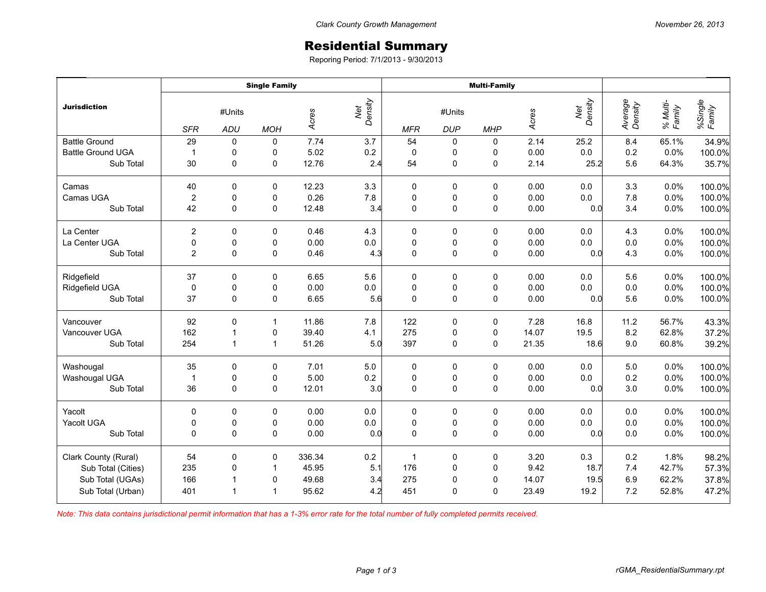## Residential Summary

Reporing Period: 7/1/2013 - 9/30/2013

| <b>Jurisdiction</b>      | <b>Single Family</b> |                         |              |        |                | <b>Multi-Family</b> |                      |             |       |                |                    |                    |                   |
|--------------------------|----------------------|-------------------------|--------------|--------|----------------|---------------------|----------------------|-------------|-------|----------------|--------------------|--------------------|-------------------|
|                          | <b>SFR</b>           | #Units<br>ADU           | <b>MOH</b>   | Acres  | Net<br>Density | <b>MFR</b>          | #Units<br><b>DUP</b> | <b>MHP</b>  | Acres | Net<br>Density | Average<br>Density | % Multi-<br>Family | %Single<br>Family |
| <b>Battle Ground</b>     | 29                   | $\mathbf 0$             | 0            | 7.74   | 3.7            | 54                  | 0                    | 0           | 2.14  | 25.2           | 8.4                | 65.1%              | 34.9%             |
| <b>Battle Ground UGA</b> | $\mathbf{1}$         | 0                       | 0            | 5.02   | 0.2            | $\mathbf 0$         | 0                    | 0           | 0.00  | 0.0            | 0.2                | 0.0%               | 100.0%            |
| Sub Total                | 30                   | $\mathbf 0$             | 0            | 12.76  | 2.4            | 54                  | 0                    | $\mathbf 0$ | 2.14  | 25.2           | 5.6                | 64.3%              | 35.7%             |
| Camas                    | 40                   | 0                       | 0            | 12.23  | 3.3            | $\mathbf 0$         | 0                    | 0           | 0.00  | 0.0            | 3.3                | 0.0%               | 100.0%            |
| Camas UGA                | $\overline{2}$       | 0                       | 0            | 0.26   | $7.8$          | $\pmb{0}$           | 0                    | 0           | 0.00  | 0.0            | 7.8                | 0.0%               | 100.0%            |
| Sub Total                | 42                   | $\Omega$                | 0            | 12.48  | 3.4            | $\mathbf 0$         | $\mathsf 0$          | $\mathbf 0$ | 0.00  | 0.0            | 3.4                | 0.0%               | 100.0%            |
| La Center                | $\overline{c}$       | 0                       | 0            | 0.46   | 4.3            | $\mathbf 0$         | 0                    | 0           | 0.00  | 0.0            | 4.3                | 0.0%               | 100.0%            |
| La Center UGA            | $\mathbf 0$          | $\pmb{0}$               | 0            | 0.00   | $0.0\,$        | $\pmb{0}$           | $\pmb{0}$            | $\pmb{0}$   | 0.00  | 0.0            | 0.0                | 0.0%               | 100.0%            |
| Sub Total                | $\overline{2}$       | $\Omega$                | $\mathbf 0$  | 0.46   | 4.3            | $\mathbf 0$         | $\pmb{0}$            | $\mathbf 0$ | 0.00  | 0.0            | 4.3                | 0.0%               | 100.0%            |
| Ridgefield               | 37                   | 0                       | 0            | 6.65   | 5.6            | 0                   | 0                    | 0           | 0.00  | 0.0            | 5.6                | 0.0%               | 100.0%            |
| Ridgefield UGA           | $\pmb{0}$            | $\pmb{0}$               | 0            | 0.00   | $0.0\,$        | $\pmb{0}$           | $\mathbf 0$          | $\mathsf 0$ | 0.00  | 0.0            | 0.0                | 0.0%               | 100.0%            |
| Sub Total                | 37                   | $\Omega$                | $\mathbf 0$  | 6.65   | 5.6            | $\mathbf 0$         | $\mathsf 0$          | $\pmb{0}$   | 0.00  | 0.0            | 5.6                | 0.0%               | 100.0%            |
| Vancouver                | 92                   | $\pmb{0}$               | $\mathbf{1}$ | 11.86  | 7.8            | 122                 | $\pmb{0}$            | $\pmb{0}$   | 7.28  | 16.8           | 11.2               | 56.7%              | 43.3%             |
| Vancouver UGA            | 162                  | $\overline{1}$          | 0            | 39.40  | 4.1            | 275                 | $\pmb{0}$            | $\mathsf 0$ | 14.07 | 19.5           | 8.2                | 62.8%              | 37.2%             |
| Sub Total                | 254                  | $\mathbf{1}$            | $\mathbf{1}$ | 51.26  | 5.0            | 397                 | 0                    | 0           | 21.35 | 18.6           | 9.0                | 60.8%              | 39.2%             |
| Washougal                | 35                   | $\mathbf 0$             | 0            | 7.01   | 5.0            | $\mathbf 0$         | 0                    | 0           | 0.00  | 0.0            | 5.0                | 0.0%               | 100.0%            |
| Washougal UGA            | $\mathbf{1}$         | 0                       | 0            | 5.00   | $0.2\,$        | $\pmb{0}$           | $\pmb{0}$            | $\pmb{0}$   | 0.00  | $0.0\,$        | 0.2                | 0.0%               | 100.0%            |
| Sub Total                | 36                   | $\Omega$                | $\mathbf 0$  | 12.01  | 3.0            | $\mathbf 0$         | $\pmb{0}$            | $\pmb{0}$   | 0.00  | 0.0            | 3.0                | 0.0%               | 100.0%            |
| Yacolt                   | $\mathbf 0$          | $\mathbf 0$             | $\mathbf 0$  | 0.00   | 0.0            | $\mathbf 0$         | 0                    | 0           | 0.00  | 0.0            | 0.0                | 0.0%               | 100.0%            |
| Yacolt UGA               | $\pmb{0}$            | 0                       | $\pmb{0}$    | 0.00   | $0.0\,$        | $\mathbf 0$         | $\mathbf 0$          | $\pmb{0}$   | 0.00  | $0.0\,$        | 0.0                | 0.0%               | 100.0%            |
| Sub Total                | $\Omega$             | $\Omega$                | $\mathbf 0$  | 0.00   | 0.0            | $\mathbf 0$         | $\pmb{0}$            | $\pmb{0}$   | 0.00  | 0.0            | 0.0                | 0.0%               | 100.0%            |
| Clark County (Rural)     | 54                   | 0                       | 0            | 336.34 | $0.2\,$        | $\mathbf{1}$        | 0                    | 0           | 3.20  | 0.3            | 0.2                | 1.8%               | 98.2%             |
| Sub Total (Cities)       | 235                  | 0                       | $\mathbf{1}$ | 45.95  | 5.1            | 176                 | $\mathbf 0$          | $\pmb{0}$   | 9.42  | 18.7           | 7.4                | 42.7%              | 57.3%             |
| Sub Total (UGAs)         | 166                  | $\overline{\mathbf{1}}$ | 0            | 49.68  | 3.4            | 275                 | $\pmb{0}$            | $\pmb{0}$   | 14.07 | 19.5           | 6.9                | 62.2%              | 37.8%             |
| Sub Total (Urban)        | 401                  | $\overline{1}$          | $\mathbf{1}$ | 95.62  | 4.2            | 451                 | $\mathbf 0$          | $\mathbf 0$ | 23.49 | 19.2           | 7.2                | 52.8%              | 47.2%             |

*Note: This data contains jurisdictional permit information that has a 1-3% error rate for the total number of fully completed permits received.*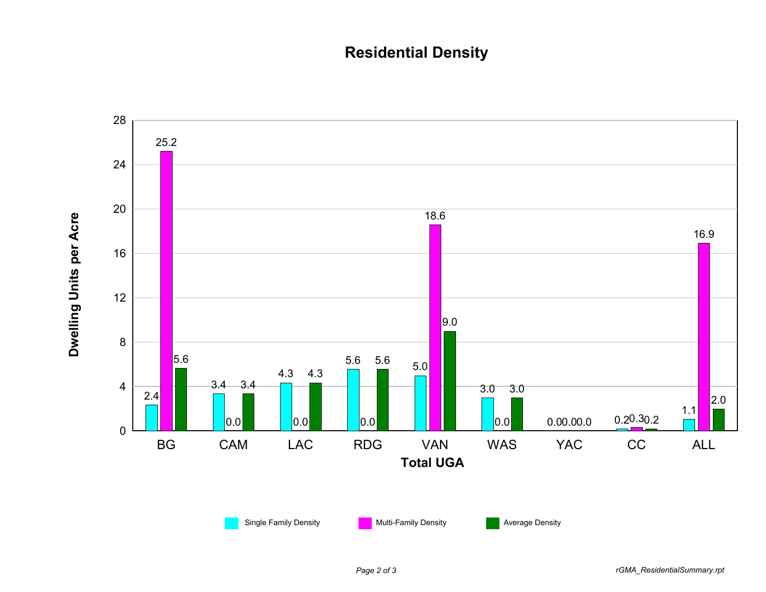## **Residential Density**